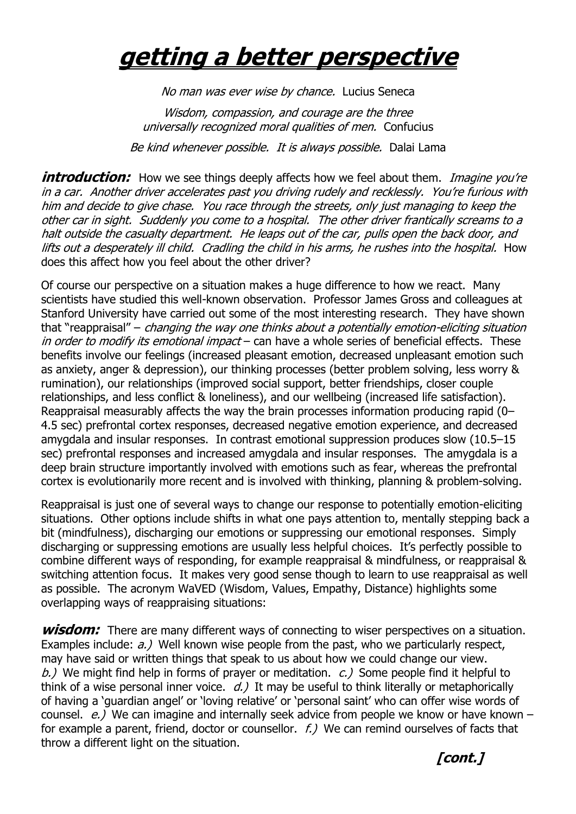## **getting a better perspective**

No man was ever wise by chance. Lucius Seneca

Wisdom, compassion, and courage are the three universally recognized moral qualities of men. Confucius Be kind whenever possible. It is always possible. Dalai Lama

**introduction:** How we see things deeply affects how we feel about them. *Imagine you're* in a car. Another driver accelerates past you driving rudely and recklessly. You"re furious with him and decide to give chase. You race through the streets, only just managing to keep the other car in sight. Suddenly you come to a hospital. The other driver frantically screams to a halt outside the casualty department. He leaps out of the car, pulls open the back door, and lifts out a desperately ill child. Cradling the child in his arms, he rushes into the hospital. How does this affect how you feel about the other driver?

Of course our perspective on a situation makes a huge difference to how we react. Many scientists have studied this well-known observation. Professor James Gross and colleagues at Stanford University have carried out some of the most interesting research. They have shown that "reappraisal" – changing the way one thinks about a potentially emotion-eliciting situation in order to modify its emotional impact – can have a whole series of beneficial effects. These benefits involve our feelings (increased pleasant emotion, decreased unpleasant emotion such as anxiety, anger & depression), our thinking processes (better problem solving, less worry & rumination), our relationships (improved social support, better friendships, closer couple relationships, and less conflict & loneliness), and our wellbeing (increased life satisfaction). Reappraisal measurably affects the way the brain processes information producing rapid (0– 4.5 sec) prefrontal cortex responses, decreased negative emotion experience, and decreased amygdala and insular responses. In contrast emotional suppression produces slow (10.5–15 sec) prefrontal responses and increased amygdala and insular responses. The amygdala is a deep brain structure importantly involved with emotions such as fear, whereas the prefrontal cortex is evolutionarily more recent and is involved with thinking, planning & problem-solving.

Reappraisal is just one of several ways to change our response to potentially emotion-eliciting situations. Other options include shifts in what one pays attention to, mentally stepping back a bit (mindfulness), discharging our emotions or suppressing our emotional responses. Simply discharging or suppressing emotions are usually less helpful choices. It"s perfectly possible to combine different ways of responding, for example reappraisal & mindfulness, or reappraisal & switching attention focus. It makes very good sense though to learn to use reappraisal as well as possible. The acronym WaVED (Wisdom, Values, Empathy, Distance) highlights some overlapping ways of reappraising situations:

**wisdom:** There are many different ways of connecting to wiser perspectives on a situation. Examples include:  $a.$ ) Well known wise people from the past, who we particularly respect, may have said or written things that speak to us about how we could change our view. b.) We might find help in forms of prayer or meditation.  $c$ .) Some people find it helpful to think of a wise personal inner voice.  $d.$ ) It may be useful to think literally or metaphorically of having a "guardian angel" or "loving relative" or "personal saint" who can offer wise words of counsel.  $e$ .) We can imagine and internally seek advice from people we know or have known – for example a parent, friend, doctor or counsellor.  $f$ .) We can remind ourselves of facts that throw a different light on the situation.

**[cont.]**